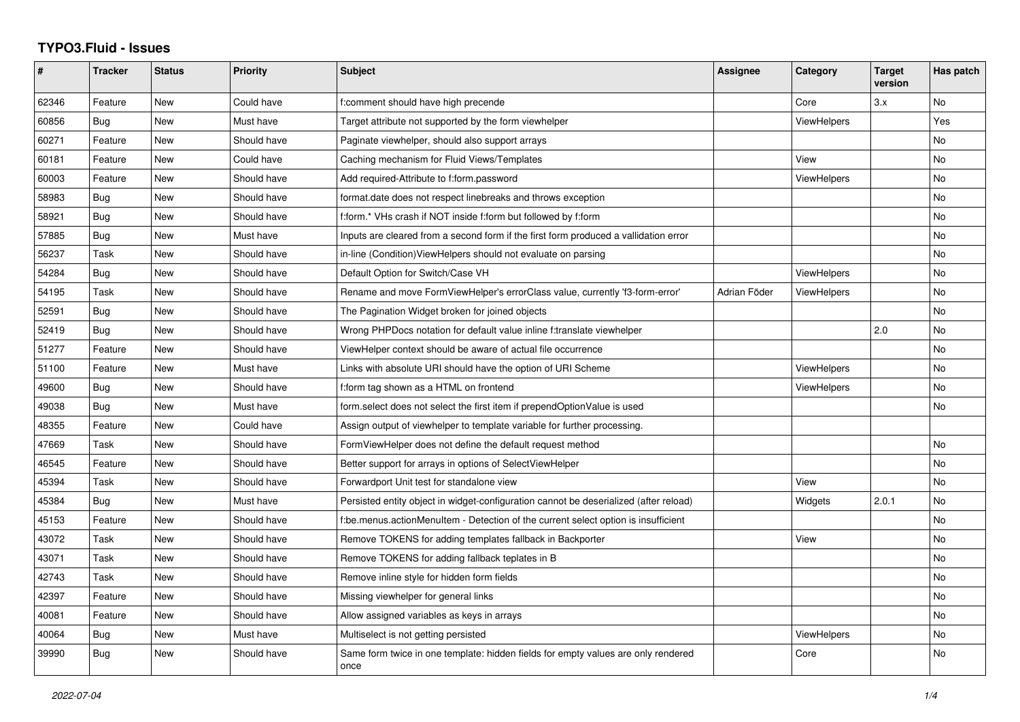## **TYPO3.Fluid - Issues**

| #     | <b>Tracker</b> | <b>Status</b> | <b>Priority</b> | <b>Subject</b>                                                                            | Assignee     | Category           | <b>Target</b><br>version | Has patch |
|-------|----------------|---------------|-----------------|-------------------------------------------------------------------------------------------|--------------|--------------------|--------------------------|-----------|
| 62346 | Feature        | <b>New</b>    | Could have      | f:comment should have high precende                                                       |              | Core               | 3.x                      | No        |
| 60856 | Bug            | New           | Must have       | Target attribute not supported by the form viewhelper                                     |              | ViewHelpers        |                          | Yes       |
| 60271 | Feature        | New           | Should have     | Paginate viewhelper, should also support arrays                                           |              |                    |                          | No        |
| 60181 | Feature        | <b>New</b>    | Could have      | Caching mechanism for Fluid Views/Templates                                               |              | View               |                          | No        |
| 60003 | Feature        | New           | Should have     | Add required-Attribute to f:form.password                                                 |              | <b>ViewHelpers</b> |                          | No        |
| 58983 | Bug            | New           | Should have     | format.date does not respect linebreaks and throws exception                              |              |                    |                          | <b>No</b> |
| 58921 | <b>Bug</b>     | New           | Should have     | f:form.* VHs crash if NOT inside f:form but followed by f:form                            |              |                    |                          | No        |
| 57885 | Bug            | New           | Must have       | Inputs are cleared from a second form if the first form produced a vallidation error      |              |                    |                          | <b>No</b> |
| 56237 | Task           | New           | Should have     | in-line (Condition) View Helpers should not evaluate on parsing                           |              |                    |                          | No        |
| 54284 | <b>Bug</b>     | <b>New</b>    | Should have     | Default Option for Switch/Case VH                                                         |              | <b>ViewHelpers</b> |                          | <b>No</b> |
| 54195 | Task           | New           | Should have     | Rename and move FormViewHelper's errorClass value, currently 'f3-form-error'              | Adrian Föder | ViewHelpers        |                          | No        |
| 52591 | <b>Bug</b>     | New           | Should have     | The Pagination Widget broken for joined objects                                           |              |                    |                          | No        |
| 52419 | Bug            | New           | Should have     | Wrong PHPDocs notation for default value inline f:translate viewhelper                    |              |                    | 2.0                      | <b>No</b> |
| 51277 | Feature        | New           | Should have     | ViewHelper context should be aware of actual file occurrence                              |              |                    |                          | <b>No</b> |
| 51100 | Feature        | New           | Must have       | Links with absolute URI should have the option of URI Scheme                              |              | <b>ViewHelpers</b> |                          | No        |
| 49600 | <b>Bug</b>     | <b>New</b>    | Should have     | f:form tag shown as a HTML on frontend                                                    |              | <b>ViewHelpers</b> |                          | No        |
| 49038 | Bug            | New           | Must have       | form.select does not select the first item if prependOptionValue is used                  |              |                    |                          | No        |
| 48355 | Feature        | New           | Could have      | Assign output of viewhelper to template variable for further processing.                  |              |                    |                          |           |
| 47669 | Task           | New           | Should have     | FormViewHelper does not define the default request method                                 |              |                    |                          | No        |
| 46545 | Feature        | New           | Should have     | Better support for arrays in options of SelectViewHelper                                  |              |                    |                          | <b>No</b> |
| 45394 | Task           | New           | Should have     | Forwardport Unit test for standalone view                                                 |              | View               |                          | No        |
| 45384 | <b>Bug</b>     | <b>New</b>    | Must have       | Persisted entity object in widget-configuration cannot be deserialized (after reload)     |              | Widgets            | 2.0.1                    | <b>No</b> |
| 45153 | Feature        | New           | Should have     | f:be.menus.actionMenuItem - Detection of the current select option is insufficient        |              |                    |                          | <b>No</b> |
| 43072 | Task           | New           | Should have     | Remove TOKENS for adding templates fallback in Backporter                                 |              | View               |                          | No        |
| 43071 | Task           | New           | Should have     | Remove TOKENS for adding fallback teplates in B                                           |              |                    |                          | No        |
| 42743 | Task           | New           | Should have     | Remove inline style for hidden form fields                                                |              |                    |                          | No        |
| 42397 | Feature        | New           | Should have     | Missing viewhelper for general links                                                      |              |                    |                          | <b>No</b> |
| 40081 | Feature        | New           | Should have     | Allow assigned variables as keys in arrays                                                |              |                    |                          | <b>No</b> |
| 40064 | Bug            | New           | Must have       | Multiselect is not getting persisted                                                      |              | <b>ViewHelpers</b> |                          | <b>No</b> |
| 39990 | <b>Bug</b>     | New           | Should have     | Same form twice in one template: hidden fields for empty values are only rendered<br>once |              | Core               |                          | No        |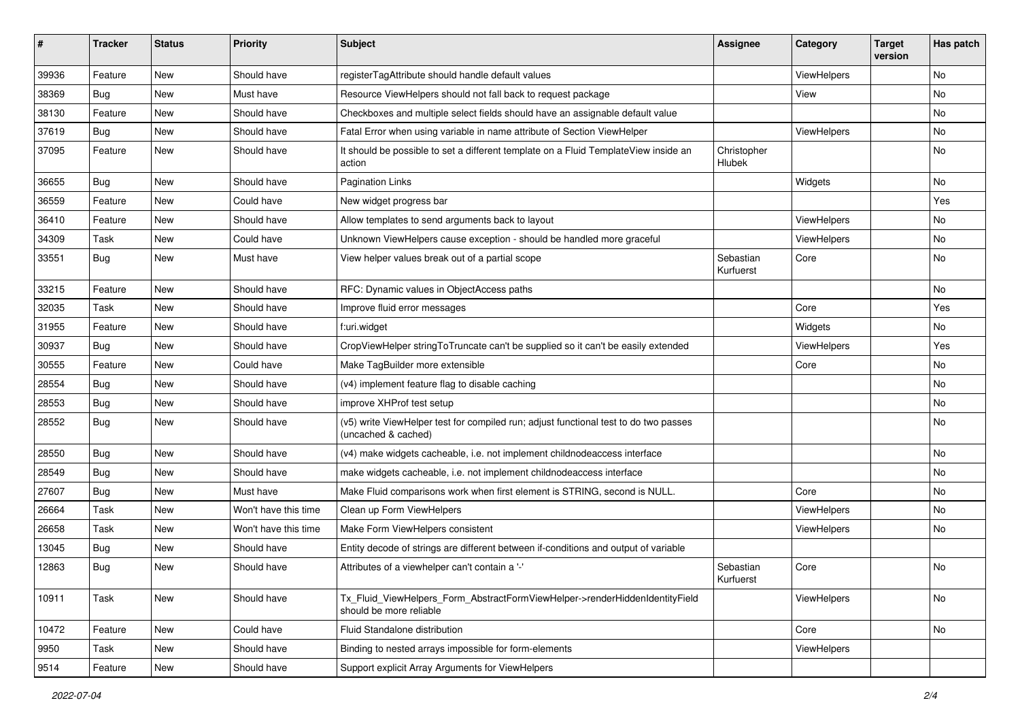| ∦     | <b>Tracker</b> | <b>Status</b> | Priority             | Subject                                                                                                     | <b>Assignee</b>        | Category           | <b>Target</b><br>version | Has patch |
|-------|----------------|---------------|----------------------|-------------------------------------------------------------------------------------------------------------|------------------------|--------------------|--------------------------|-----------|
| 39936 | Feature        | New           | Should have          | registerTagAttribute should handle default values                                                           |                        | ViewHelpers        |                          | <b>No</b> |
| 38369 | Bug            | New           | Must have            | Resource ViewHelpers should not fall back to request package                                                |                        | View               |                          | No        |
| 38130 | Feature        | New           | Should have          | Checkboxes and multiple select fields should have an assignable default value                               |                        |                    |                          | No        |
| 37619 | Bug            | New           | Should have          | Fatal Error when using variable in name attribute of Section ViewHelper                                     |                        | ViewHelpers        |                          | No        |
| 37095 | Feature        | New           | Should have          | It should be possible to set a different template on a Fluid TemplateView inside an<br>action               | Christopher<br>Hlubek  |                    |                          | No        |
| 36655 | Bug            | New           | Should have          | <b>Pagination Links</b>                                                                                     |                        | Widgets            |                          | No        |
| 36559 | Feature        | New           | Could have           | New widget progress bar                                                                                     |                        |                    |                          | Yes       |
| 36410 | Feature        | New           | Should have          | Allow templates to send arguments back to layout                                                            |                        | ViewHelpers        |                          | No        |
| 34309 | Task           | New           | Could have           | Unknown ViewHelpers cause exception - should be handled more graceful                                       |                        | <b>ViewHelpers</b> |                          | No        |
| 33551 | Bug            | New           | Must have            | View helper values break out of a partial scope                                                             | Sebastian<br>Kurfuerst | Core               |                          | No        |
| 33215 | Feature        | New           | Should have          | RFC: Dynamic values in ObjectAccess paths                                                                   |                        |                    |                          | No        |
| 32035 | Task           | <b>New</b>    | Should have          | Improve fluid error messages                                                                                |                        | Core               |                          | Yes       |
| 31955 | Feature        | New           | Should have          | f:uri.widget                                                                                                |                        | Widgets            |                          | No        |
| 30937 | Bug            | New           | Should have          | CropViewHelper stringToTruncate can't be supplied so it can't be easily extended                            |                        | ViewHelpers        |                          | Yes       |
| 30555 | Feature        | New           | Could have           | Make TagBuilder more extensible                                                                             |                        | Core               |                          | No        |
| 28554 | Bug            | New           | Should have          | (v4) implement feature flag to disable caching                                                              |                        |                    |                          | No        |
| 28553 | Bug            | New           | Should have          | improve XHProf test setup                                                                                   |                        |                    |                          | <b>No</b> |
| 28552 | Bug            | New           | Should have          | (v5) write ViewHelper test for compiled run; adjust functional test to do two passes<br>(uncached & cached) |                        |                    |                          | No        |
| 28550 | Bug            | New           | Should have          | (v4) make widgets cacheable, i.e. not implement childnodeaccess interface                                   |                        |                    |                          | No        |
| 28549 | Bug            | New           | Should have          | make widgets cacheable, i.e. not implement childnodeaccess interface                                        |                        |                    |                          | No        |
| 27607 | Bug            | New           | Must have            | Make Fluid comparisons work when first element is STRING, second is NULL.                                   |                        | Core               |                          | No        |
| 26664 | Task           | New           | Won't have this time | Clean up Form ViewHelpers                                                                                   |                        | ViewHelpers        |                          | <b>No</b> |
| 26658 | Task           | New           | Won't have this time | Make Form ViewHelpers consistent                                                                            |                        | ViewHelpers        |                          | No        |
| 13045 | Bug            | New           | Should have          | Entity decode of strings are different between if-conditions and output of variable                         |                        |                    |                          |           |
| 12863 | Bug            | New           | Should have          | Attributes of a viewhelper can't contain a '-'                                                              | Sebastian<br>Kurfuerst | Core               |                          | No        |
| 10911 | Task           | New           | Should have          | Tx_Fluid_ViewHelpers_Form_AbstractFormViewHelper->renderHiddenIdentityField<br>should be more reliable      |                        | ViewHelpers        |                          | No        |
| 10472 | Feature        | New           | Could have           | Fluid Standalone distribution                                                                               |                        | Core               |                          | No        |
| 9950  | Task           | New           | Should have          | Binding to nested arrays impossible for form-elements                                                       |                        | ViewHelpers        |                          |           |
| 9514  | Feature        | New           | Should have          | Support explicit Array Arguments for ViewHelpers                                                            |                        |                    |                          |           |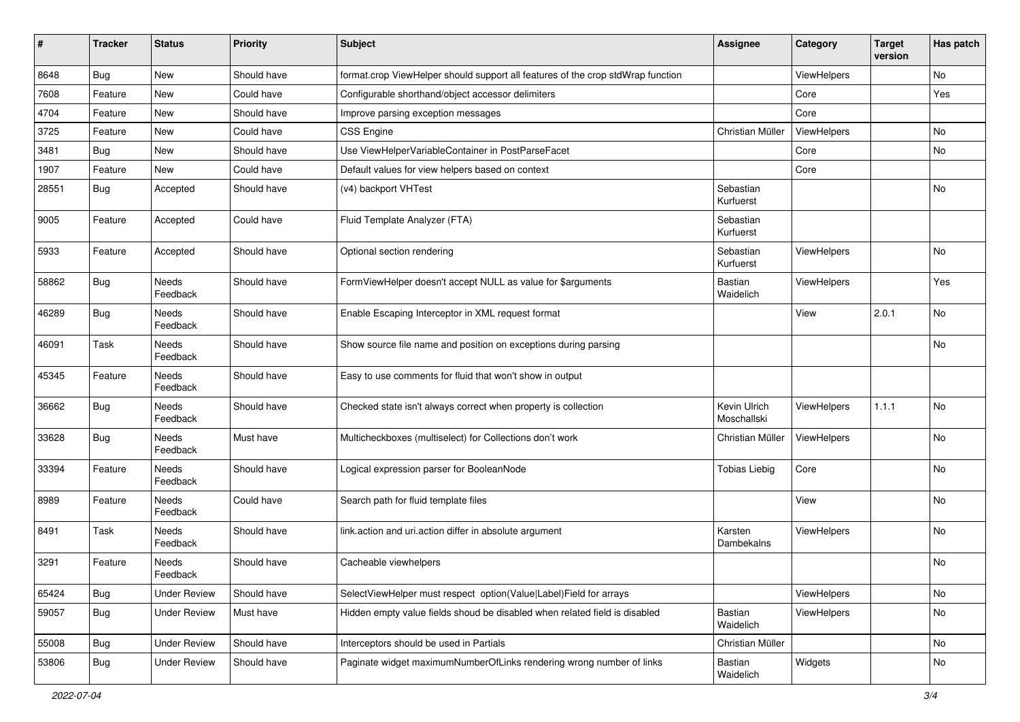| #     | <b>Tracker</b> | <b>Status</b>            | <b>Priority</b> | Subject                                                                         | <b>Assignee</b>             | Category           | <b>Target</b><br>version | Has patch |
|-------|----------------|--------------------------|-----------------|---------------------------------------------------------------------------------|-----------------------------|--------------------|--------------------------|-----------|
| 8648  | Bug            | New                      | Should have     | format.crop ViewHelper should support all features of the crop stdWrap function |                             | ViewHelpers        |                          | No        |
| 7608  | Feature        | <b>New</b>               | Could have      | Configurable shorthand/object accessor delimiters                               |                             | Core               |                          | Yes       |
| 4704  | Feature        | New                      | Should have     | Improve parsing exception messages                                              |                             | Core               |                          |           |
| 3725  | Feature        | <b>New</b>               | Could have      | CSS Engine                                                                      | Christian Müller            | ViewHelpers        |                          | No        |
| 3481  | Bug            | <b>New</b>               | Should have     | Use ViewHelperVariableContainer in PostParseFacet                               |                             | Core               |                          | No        |
| 1907  | Feature        | New                      | Could have      | Default values for view helpers based on context                                |                             | Core               |                          |           |
| 28551 | Bug            | Accepted                 | Should have     | (v4) backport VHTest                                                            | Sebastian<br>Kurfuerst      |                    |                          | No        |
| 9005  | Feature        | Accepted                 | Could have      | Fluid Template Analyzer (FTA)                                                   | Sebastian<br>Kurfuerst      |                    |                          |           |
| 5933  | Feature        | Accepted                 | Should have     | Optional section rendering                                                      | Sebastian<br>Kurfuerst      | ViewHelpers        |                          | No        |
| 58862 | Bug            | Needs<br>Feedback        | Should have     | FormViewHelper doesn't accept NULL as value for \$arguments                     | Bastian<br>Waidelich        | <b>ViewHelpers</b> |                          | Yes       |
| 46289 | <b>Bug</b>     | Needs<br>Feedback        | Should have     | Enable Escaping Interceptor in XML request format                               |                             | View               | 2.0.1                    | No        |
| 46091 | Task           | <b>Needs</b><br>Feedback | Should have     | Show source file name and position on exceptions during parsing                 |                             |                    |                          | No        |
| 45345 | Feature        | Needs<br>Feedback        | Should have     | Easy to use comments for fluid that won't show in output                        |                             |                    |                          |           |
| 36662 | <b>Bug</b>     | Needs<br>Feedback        | Should have     | Checked state isn't always correct when property is collection                  | Kevin Ulrich<br>Moschallski | ViewHelpers        | 1.1.1                    | No        |
| 33628 | <b>Bug</b>     | <b>Needs</b><br>Feedback | Must have       | Multicheckboxes (multiselect) for Collections don't work                        | Christian Müller            | ViewHelpers        |                          | No        |
| 33394 | Feature        | Needs<br>Feedback        | Should have     | Logical expression parser for BooleanNode                                       | <b>Tobias Liebig</b>        | Core               |                          | No        |
| 8989  | Feature        | Needs<br>Feedback        | Could have      | Search path for fluid template files                                            |                             | View               |                          | No        |
| 8491  | Task           | Needs<br>Feedback        | Should have     | link.action and uri.action differ in absolute argument                          | Karsten<br>Dambekalns       | <b>ViewHelpers</b> |                          | No        |
| 3291  | Feature        | Needs<br>Feedback        | Should have     | Cacheable viewhelpers                                                           |                             |                    |                          | No        |
| 65424 | <b>Bug</b>     | <b>Under Review</b>      | Should have     | SelectViewHelper must respect option(Value Label)Field for arrays               |                             | ViewHelpers        |                          | No        |
| 59057 | <b>Bug</b>     | <b>Under Review</b>      | Must have       | Hidden empty value fields shoud be disabled when related field is disabled      | Bastian<br>Waidelich        | ViewHelpers        |                          | No        |
| 55008 | <b>Bug</b>     | <b>Under Review</b>      | Should have     | Interceptors should be used in Partials                                         | Christian Müller            |                    |                          | No        |
| 53806 | <b>Bug</b>     | <b>Under Review</b>      | Should have     | Paginate widget maximumNumberOfLinks rendering wrong number of links            | Bastian<br>Waidelich        | Widgets            |                          | No        |